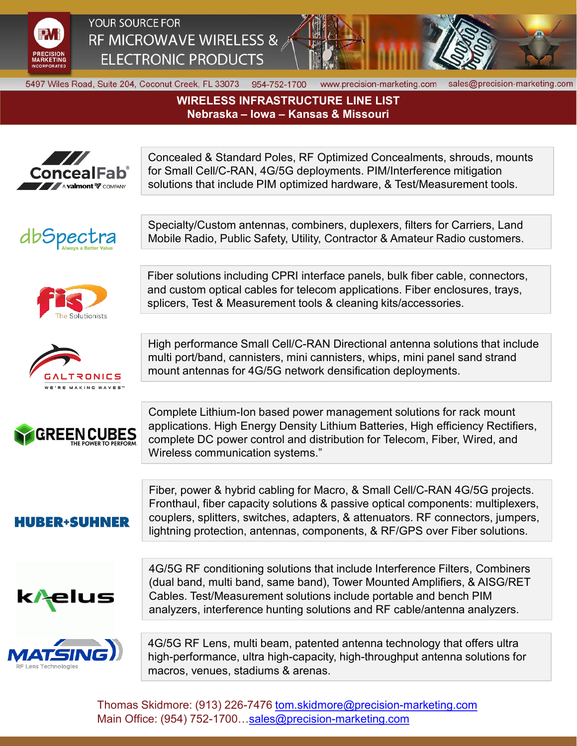

YOUR SOURCE FOR RF MICROWAVE WIRELESS & **ELECTRONIC PRODUCTS** 



5497 Wiles Road, Suite 204, Coconut Creek, FL 33073 954-752-1700

www.precision-marketing.com

sales@precision-marketing.com

**WIRELESS INFRASTRUCTURE LINE LIST** Nebraska – Iowa – Kansas & Missouri